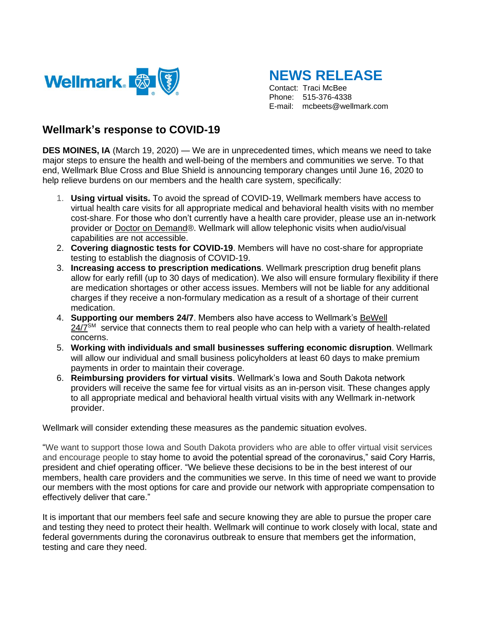

**NEWS RELEASE** 

Contact: Traci McBee Phone: 515-376-4338 E-mail: mcbeets@wellmark.com

## **Wellmark's response to COVID-19**

**DES MOINES, IA** (March 19, 2020) — We are in unprecedented times, which means we need to take major steps to ensure the health and well-being of the members and communities we serve. To that end, Wellmark Blue Cross and Blue Shield is announcing temporary changes until June 16, 2020 to help relieve burdens on our members and the health care system, specifically:

- 1. **Using virtual visits.** To avoid the spread of COVID-19, Wellmark members have access to virtual health care visits for all appropriate medical and behavioral health visits with no member cost-share. For those who don't currently have a health care provider, please use an in-network provider or [Doctor on Demand®](https://www.wellmark.com/coronavirus). Wellmark will allow telephonic visits when audio/visual capabilities are not accessible.
- 2. **Covering diagnostic tests for COVID-19**. Members will have no cost-share for appropriate testing to establish the diagnosis of COVID-19.
- 3. **Increasing access to prescription medications**. Wellmark prescription drug benefit plans allow for early refill (up to 30 days of medication). We also will ensure formulary flexibility if there are medication shortages or other access issues. Members will not be liable for any additional charges if they receive a non-formulary medication as a result of a shortage of their current medication.
- 4. **Supporting our members 24/7**. Members also have access to Wellmark's [BeWell](https://www.wellmark.com/blue/plan-smart/be-less-stressed-with-bewell-247)   $24/7<sup>SM</sup>$  $24/7<sup>SM</sup>$  service that connects them to real people who can help with a variety of health-related concerns.
- 5. **Working with individuals and small businesses suffering economic disruption**. Wellmark will allow our individual and small business policyholders at least 60 days to make premium payments in order to maintain their coverage.
- 6. **Reimbursing providers for virtual visits**. Wellmark's Iowa and South Dakota network providers will receive the same fee for virtual visits as an in-person visit. These changes apply to all appropriate medical and behavioral health virtual visits with any Wellmark in-network provider.

Wellmark will consider extending these measures as the pandemic situation evolves.

"We want to support those Iowa and South Dakota providers who are able to offer virtual visit services and encourage people to stay home to avoid the potential spread of the coronavirus," said Cory Harris, president and chief operating officer. "We believe these decisions to be in the best interest of our members, health care providers and the communities we serve. In this time of need we want to provide our members with the most options for care and provide our network with appropriate compensation to effectively deliver that care."

It is important that our members feel safe and secure knowing they are able to pursue the proper care and testing they need to protect their health. Wellmark will continue to work closely with local, state and federal governments during the coronavirus outbreak to ensure that members get the information, testing and care they need.